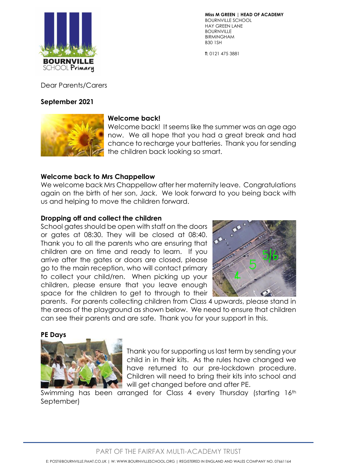

**T:** 0121 475 3881

Dear Parents/Carers

### **September 2021**



## **Welcome back!**

Welcome back! It seems like the summer was an age ago now. We all hope that you had a great break and had chance to recharge your batteries. Thank you for sending the children back looking so smart.

### **Welcome back to Mrs Chappellow**

We welcome back Mrs Chappellow after her maternity leave. Congratulations again on the birth of her son, Jack. We look forward to you being back with us and helping to move the children forward.

#### **Dropping off and collect the children**

School gates should be open with staff on the doors or gates at 08:30. They will be closed at 08:40. Thank you to all the parents who are ensuring that children are on time and ready to learn. If you arrive after the gates or doors are closed, please go to the main reception, who will contact primary to collect your child/ren. When picking up your children, please ensure that you leave enough space for the children to get to through to their



parents. For parents collecting children from Class 4 upwards, please stand in the areas of the playground as shown below. We need to ensure that children can see their parents and are safe. Thank you for your support in this.

## **PE Days**



Thank you for supporting us last term by sending your child in in their kits. As the rules have changed we have returned to our pre-lockdown procedure. Children will need to bring their kits into school and will get changed before and after PE.

Swimming has been arranged for Class 4 every Thursday (starting 16th September)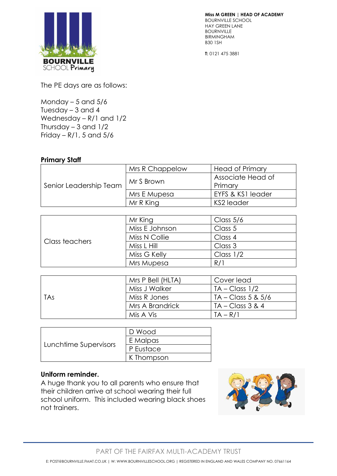

**T:** 0121 475 3881

The PE days are as follows:

Monday  $-5$  and  $5/6$ Tuesday – 3 and 4 Wednesday – R/1 and 1/2 Thursday  $-3$  and  $1/2$ Friday –  $R/1$ , 5 and  $5/6$ 

#### **Primary Staff**

| Senior Leadership Team | Mrs R Chappelow | <b>Head of Primary</b> |
|------------------------|-----------------|------------------------|
|                        | Mr S Brown      | Associate Head of      |
|                        |                 | Primary                |
|                        | Mrs E Mupesa    | EYFS & KS1 leader      |
|                        | Mr R King       | KS2 leader             |

| Class teachers | Mr King        | Class $5/6$ |
|----------------|----------------|-------------|
|                | Miss E Johnson | Class 5     |
|                | Miss N Collie  | Class 4     |
|                | Miss L Hill    | Class 3     |
|                | Miss G Kelly   | Class $1/2$ |
|                | Mrs Mupesa     | R/1         |

| TAs | Mrs P Bell (HLTA) | Cover lead            |
|-----|-------------------|-----------------------|
|     | Miss J Walker     | $TA - Class 1/2$      |
|     | Miss R Jones      | $T_A$ – Class 5 & 5/6 |
|     | Mrs A Brandrick   | $TA - Class 3 & 4$    |
|     | Mis A Vis         | $TA - R/I$            |

| Lunchtime Supervisors | I D Wood   |
|-----------------------|------------|
|                       | E Malpas   |
|                       | P Eustace  |
|                       | K Thompson |

#### **Uniform reminder.**

A huge thank you to all parents who ensure that their children arrive at school wearing their full school uniform. This included wearing black shoes not trainers.



PART OF THE FAIRFAX MULTI-ACADEMY TRUST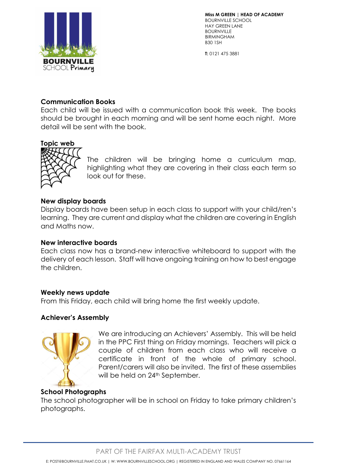

**T:** 0121 475 3881

### **Communication Books**

Each child will be issued with a communication book this week. The books should be brought in each morning and will be sent home each night. More detail will be sent with the book.

# **Topic web**



The children will be bringing home a curriculum map, highlighting what they are covering in their class each term so look out for these.

### **New display boards**

Display boards have been setup in each class to support with your child/ren's learning. They are current and display what the children are covering in English and Maths now.

#### **New interactive boards**

Each class now has a brand-new interactive whiteboard to support with the delivery of each lesson. Staff will have ongoing training on how to best engage the children.

## **Weekly news update**

From this Friday, each child will bring home the first weekly update.

## **Achiever's Assembly**



We are introducing an Achievers' Assembly. This will be held in the PPC First thing on Friday mornings. Teachers will pick a couple of children from each class who will receive a certificate in front of the whole of primary school. Parent/carers will also be invited. The first of these assemblies will be held on 24<sup>th</sup> September.

# **School Photographs**

The school photographer will be in school on Friday to take primary children's photographs.

PART OF THE FAIRFAX MUI TI-ACADEMY TRUST

E: POST@BOURNVILLE.FMAT.CO.UK | W: WWW.BOURNVILLESCHOOL.ORG | REGISTERED IN ENGLAND AND WALES COMPANY NO. 07661164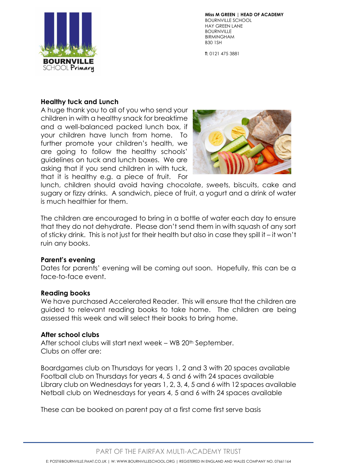

**T:** 0121 475 3881

## **Healthy tuck and Lunch**

A huge thank you to all of you who send your children in with a healthy snack for breaktime and a well-balanced packed lunch box, if your children have lunch from home. To further promote your children's health, we are going to follow the healthy schools' guidelines on tuck and lunch boxes. We are asking that if you send children in with tuck, that it is healthy e.g. a piece of fruit. For



lunch, children should avoid having chocolate, sweets, biscuits, cake and sugary or fizzy drinks. A sandwich, piece of fruit, a yogurt and a drink of water is much healthier for them.

The children are encouraged to bring in a bottle of water each day to ensure that they do not dehydrate. Please don't send them in with squash of any sort of sticky drink. This is not just for their health but also in case they spill it – it won't ruin any books.

## **Parent's evening**

Dates for parents' evening will be coming out soon. Hopefully, this can be a face-to-face event.

#### **Reading books**

We have purchased Accelerated Reader. This will ensure that the children are guided to relevant reading books to take home. The children are being assessed this week and will select their books to bring home.

#### **After school clubs**

After school clubs will start next week – WB 20<sup>th</sup> September. Clubs on offer are:

Boardgames club on Thursdays for years 1, 2 and 3 with 20 spaces available Football club on Thursdays for years 4, 5 and 6 with 24 spaces available Library club on Wednesdays for years 1, 2, 3, 4, 5 and 6 with 12 spaces available Netball club on Wednesdays for years 4, 5 and 6 with 24 spaces available

These can be booked on parent pay at a first come first serve basis